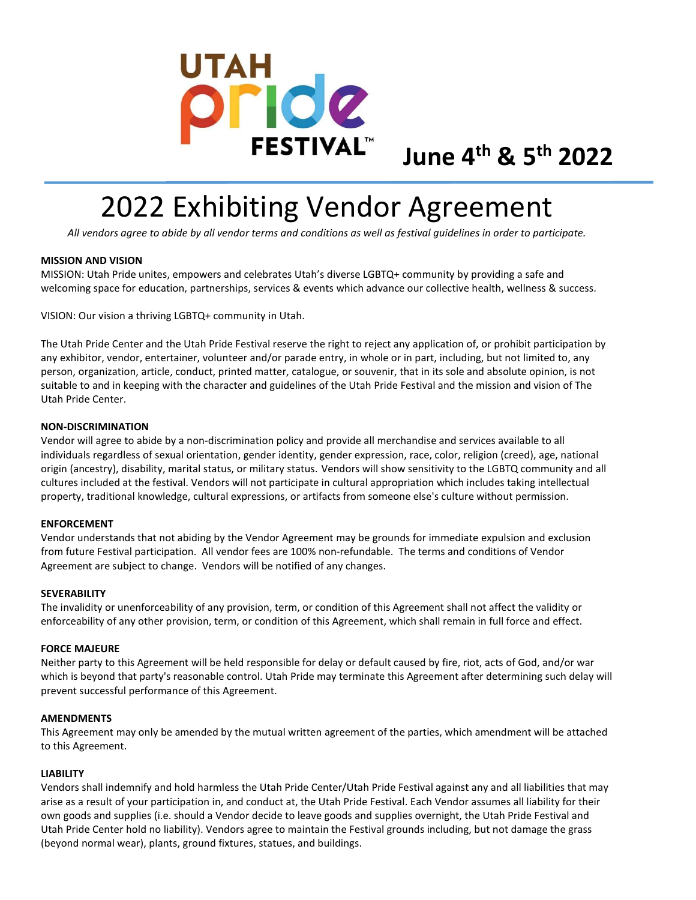

# 2022 Exhibiting Vendor Agreement

All vendors agree to abide by all vendor terms and conditions as well as festival guidelines in order to participate.

# MISSION AND VISION

MISSION: Utah Pride unites, empowers and celebrates Utah's diverse LGBTQ+ community by providing a safe and welcoming space for education, partnerships, services & events which advance our collective health, wellness & success.

VISION: Our vision a thriving LGBTQ+ community in Utah.

The Utah Pride Center and the Utah Pride Festival reserve the right to reject any application of, or prohibit participation by any exhibitor, vendor, entertainer, volunteer and/or parade entry, in whole or in part, including, but not limited to, any person, organization, article, conduct, printed matter, catalogue, or souvenir, that in its sole and absolute opinion, is not suitable to and in keeping with the character and guidelines of the Utah Pride Festival and the mission and vision of The Utah Pride Center.

## NON-DISCRIMINATION

Vendor will agree to abide by a non-discrimination policy and provide all merchandise and services available to all individuals regardless of sexual orientation, gender identity, gender expression, race, color, religion (creed), age, national origin (ancestry), disability, marital status, or military status. Vendors will show sensitivity to the LGBTQ community and all cultures included at the festival. Vendors will not participate in cultural appropriation which includes taking intellectual property, traditional knowledge, cultural expressions, or artifacts from someone else's culture without permission.

# ENFORCEMENT

Vendor understands that not abiding by the Vendor Agreement may be grounds for immediate expulsion and exclusion from future Festival participation. All vendor fees are 100% non-refundable. The terms and conditions of Vendor Agreement are subject to change. Vendors will be notified of any changes.

## SEVERABILITY

The invalidity or unenforceability of any provision, term, or condition of this Agreement shall not affect the validity or enforceability of any other provision, term, or condition of this Agreement, which shall remain in full force and effect.

## FORCE MAJEURE

Neither party to this Agreement will be held responsible for delay or default caused by fire, riot, acts of God, and/or war which is beyond that party's reasonable control. Utah Pride may terminate this Agreement after determining such delay will prevent successful performance of this Agreement.

## **AMENDMENTS**

This Agreement may only be amended by the mutual written agreement of the parties, which amendment will be attached to this Agreement.

## LIABILITY

Vendors shall indemnify and hold harmless the Utah Pride Center/Utah Pride Festival against any and all liabilities that may arise as a result of your participation in, and conduct at, the Utah Pride Festival. Each Vendor assumes all liability for their own goods and supplies (i.e. should a Vendor decide to leave goods and supplies overnight, the Utah Pride Festival and Utah Pride Center hold no liability). Vendors agree to maintain the Festival grounds including, but not damage the grass (beyond normal wear), plants, ground fixtures, statues, and buildings.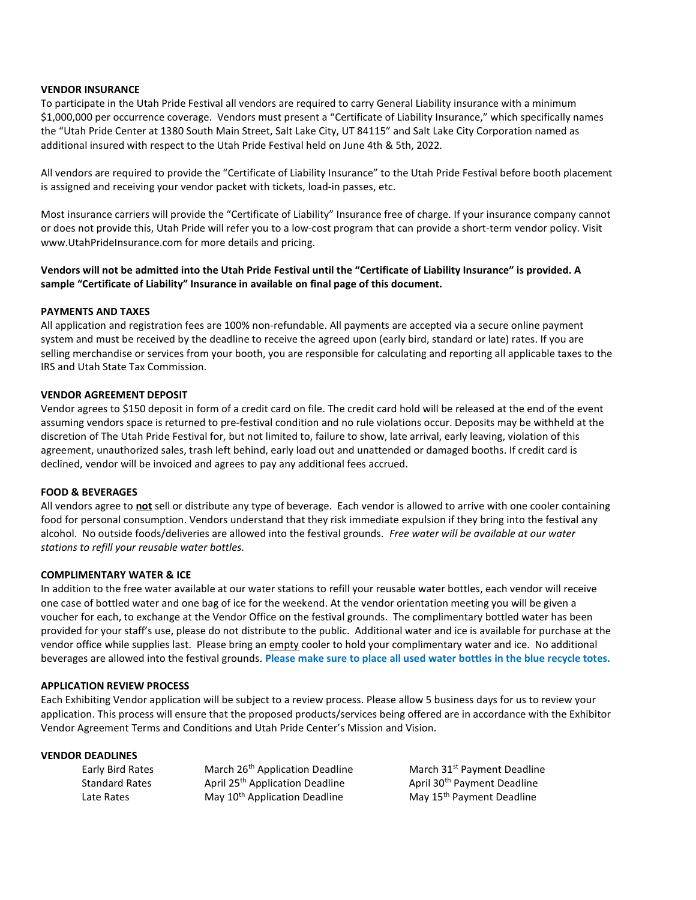## VENDOR INSURANCE

To participate in the Utah Pride Festival all vendors are required to carry General Liability insurance with a minimum \$1,000,000 per occurrence coverage. Vendors must present a "Certificate of Liability Insurance," which specifically names the "Utah Pride Center at 1380 South Main Street, Salt Lake City, UT 84115" and Salt Lake City Corporation named as additional insured with respect to the Utah Pride Festival held on June 4th & 5th, 2022.

All vendors are required to provide the "Certificate of Liability Insurance" to the Utah Pride Festival before booth placement is assigned and receiving your vendor packet with tickets, load-in passes, etc.

Most insurance carriers will provide the "Certificate of Liability" Insurance free of charge. If your insurance company cannot or does not provide this, Utah Pride will refer you to a low-cost program that can provide a short-term vendor policy. Visit www.UtahPrideInsurance.com for more details and pricing.

Vendors will not be admitted into the Utah Pride Festival until the "Certificate of Liability Insurance" is provided. A sample "Certificate of Liability" Insurance in available on final page of this document.

## PAYMENTS AND TAXES

All application and registration fees are 100% non-refundable. All payments are accepted via a secure online payment system and must be received by the deadline to receive the agreed upon (early bird, standard or late) rates. If you are selling merchandise or services from your booth, you are responsible for calculating and reporting all applicable taxes to the IRS and Utah State Tax Commission.

## VENDOR AGREEMENT DEPOSIT

Vendor agrees to \$150 deposit in form of a credit card on file. The credit card hold will be released at the end of the event assuming vendors space is returned to pre-festival condition and no rule violations occur. Deposits may be withheld at the discretion of The Utah Pride Festival for, but not limited to, failure to show, late arrival, early leaving, violation of this agreement, unauthorized sales, trash left behind, early load out and unattended or damaged booths. If credit card is declined, vendor will be invoiced and agrees to pay any additional fees accrued.

## FOOD & BEVERAGES

All vendors agree to not sell or distribute any type of beverage. Each vendor is allowed to arrive with one cooler containing food for personal consumption. Vendors understand that they risk immediate expulsion if they bring into the festival any alcohol. No outside foods/deliveries are allowed into the festival grounds. Free water will be available at our water stations to refill your reusable water bottles.

## COMPLIMENTARY WATER & ICE

In addition to the free water available at our water stations to refill your reusable water bottles, each vendor will receive one case of bottled water and one bag of ice for the weekend. At the vendor orientation meeting you will be given a voucher for each, to exchange at the Vendor Office on the festival grounds. The complimentary bottled water has been provided for your staff's use, please do not distribute to the public. Additional water and ice is available for purchase at the vendor office while supplies last. Please bring an empty cooler to hold your complimentary water and ice. No additional beverages are allowed into the festival grounds. Please make sure to place all used water bottles in the blue recycle totes.

## APPLICATION REVIEW PROCESS

Each Exhibiting Vendor application will be subject to a review process. Please allow 5 business days for us to review your application. This process will ensure that the proposed products/services being offered are in accordance with the Exhibitor Vendor Agreement Terms and Conditions and Utah Pride Center's Mission and Vision.

## VENDOR DEADLINES

| Early Bird Rates      | March 26 <sup>th</sup> Application Deadline |
|-----------------------|---------------------------------------------|
| <b>Standard Rates</b> | April 25 <sup>th</sup> Application Deadline |
| Late Rates            | May 10 <sup>th</sup> Application Deadline   |

March 31<sup>st</sup> Payment Deadline April 30<sup>th</sup> Payment Deadline May 15<sup>th</sup> Payment Deadline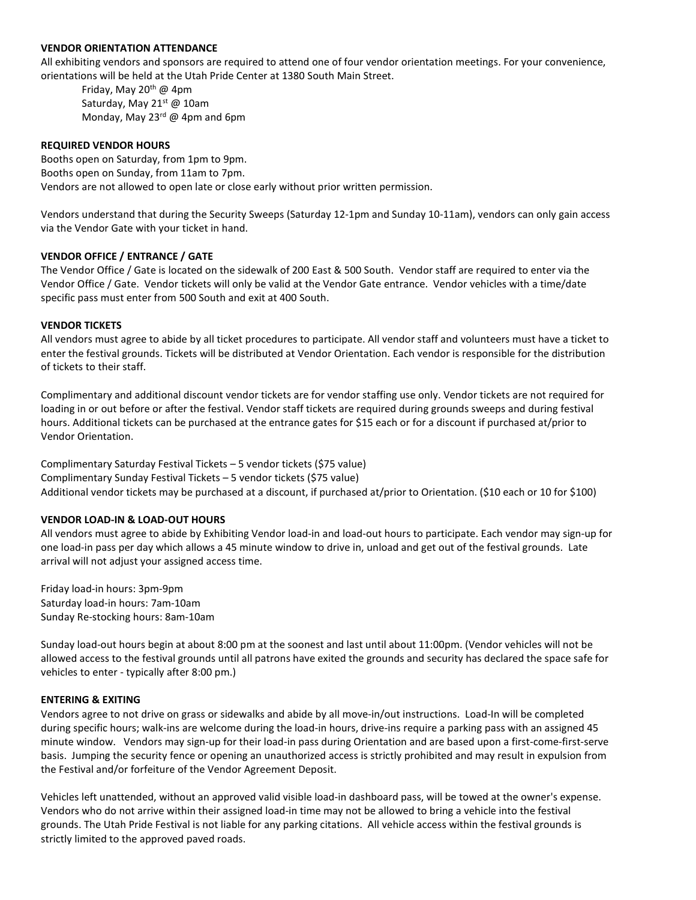## VENDOR ORIENTATION ATTENDANCE

All exhibiting vendors and sponsors are required to attend one of four vendor orientation meetings. For your convenience, orientations will be held at the Utah Pride Center at 1380 South Main Street.

Friday, May 20<sup>th</sup> @ 4pm Saturday, May 21st @ 10am Monday, May  $23^{rd}$  @ 4pm and 6pm

## REQUIRED VENDOR HOURS

Booths open on Saturday, from 1pm to 9pm. Booths open on Sunday, from 11am to 7pm. Vendors are not allowed to open late or close early without prior written permission.

Vendors understand that during the Security Sweeps (Saturday 12-1pm and Sunday 10-11am), vendors can only gain access via the Vendor Gate with your ticket in hand.

## VENDOR OFFICE / ENTRANCE / GATE

The Vendor Office / Gate is located on the sidewalk of 200 East & 500 South. Vendor staff are required to enter via the Vendor Office / Gate. Vendor tickets will only be valid at the Vendor Gate entrance. Vendor vehicles with a time/date specific pass must enter from 500 South and exit at 400 South.

## VENDOR TICKETS

All vendors must agree to abide by all ticket procedures to participate. All vendor staff and volunteers must have a ticket to enter the festival grounds. Tickets will be distributed at Vendor Orientation. Each vendor is responsible for the distribution of tickets to their staff.

Complimentary and additional discount vendor tickets are for vendor staffing use only. Vendor tickets are not required for loading in or out before or after the festival. Vendor staff tickets are required during grounds sweeps and during festival hours. Additional tickets can be purchased at the entrance gates for \$15 each or for a discount if purchased at/prior to Vendor Orientation.

Complimentary Saturday Festival Tickets – 5 vendor tickets (\$75 value) Complimentary Sunday Festival Tickets – 5 vendor tickets (\$75 value) Additional vendor tickets may be purchased at a discount, if purchased at/prior to Orientation. (\$10 each or 10 for \$100)

## VENDOR LOAD-IN & LOAD-OUT HOURS

All vendors must agree to abide by Exhibiting Vendor load-in and load-out hours to participate. Each vendor may sign-up for one load-in pass per day which allows a 45 minute window to drive in, unload and get out of the festival grounds. Late arrival will not adjust your assigned access time.

Friday load-in hours: 3pm-9pm Saturday load-in hours: 7am-10am Sunday Re-stocking hours: 8am-10am

Sunday load-out hours begin at about 8:00 pm at the soonest and last until about 11:00pm. (Vendor vehicles will not be allowed access to the festival grounds until all patrons have exited the grounds and security has declared the space safe for vehicles to enter - typically after 8:00 pm.)

## ENTERING & EXITING

Vendors agree to not drive on grass or sidewalks and abide by all move-in/out instructions. Load-In will be completed during specific hours; walk-ins are welcome during the load-in hours, drive-ins require a parking pass with an assigned 45 minute window. Vendors may sign-up for their load-in pass during Orientation and are based upon a first-come-first-serve basis. Jumping the security fence or opening an unauthorized access is strictly prohibited and may result in expulsion from the Festival and/or forfeiture of the Vendor Agreement Deposit.

Vehicles left unattended, without an approved valid visible load-in dashboard pass, will be towed at the owner's expense. Vendors who do not arrive within their assigned load-in time may not be allowed to bring a vehicle into the festival grounds. The Utah Pride Festival is not liable for any parking citations. All vehicle access within the festival grounds is strictly limited to the approved paved roads.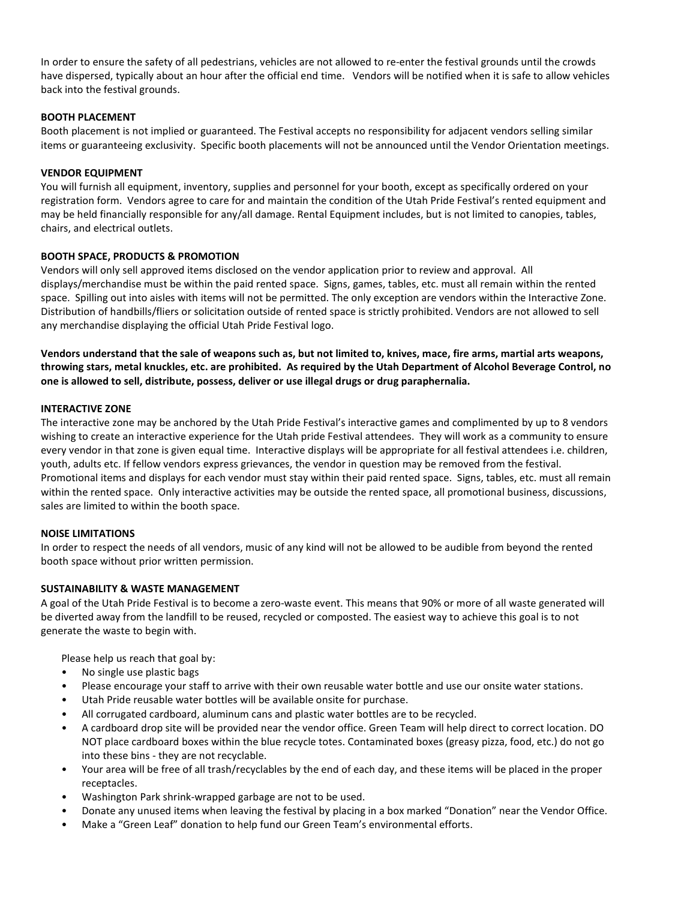In order to ensure the safety of all pedestrians, vehicles are not allowed to re-enter the festival grounds until the crowds have dispersed, typically about an hour after the official end time. Vendors will be notified when it is safe to allow vehicles back into the festival grounds.

## BOOTH PLACEMENT

Booth placement is not implied or guaranteed. The Festival accepts no responsibility for adjacent vendors selling similar items or guaranteeing exclusivity. Specific booth placements will not be announced until the Vendor Orientation meetings.

## VENDOR EQUIPMENT

You will furnish all equipment, inventory, supplies and personnel for your booth, except as specifically ordered on your registration form. Vendors agree to care for and maintain the condition of the Utah Pride Festival's rented equipment and may be held financially responsible for any/all damage. Rental Equipment includes, but is not limited to canopies, tables, chairs, and electrical outlets.

## BOOTH SPACE, PRODUCTS & PROMOTION

Vendors will only sell approved items disclosed on the vendor application prior to review and approval. All displays/merchandise must be within the paid rented space. Signs, games, tables, etc. must all remain within the rented space. Spilling out into aisles with items will not be permitted. The only exception are vendors within the Interactive Zone. Distribution of handbills/fliers or solicitation outside of rented space is strictly prohibited. Vendors are not allowed to sell any merchandise displaying the official Utah Pride Festival logo.

Vendors understand that the sale of weapons such as, but not limited to, knives, mace, fire arms, martial arts weapons, throwing stars, metal knuckles, etc. are prohibited. As required by the Utah Department of Alcohol Beverage Control, no one is allowed to sell, distribute, possess, deliver or use illegal drugs or drug paraphernalia.

## INTERACTIVE ZONE

The interactive zone may be anchored by the Utah Pride Festival's interactive games and complimented by up to 8 vendors wishing to create an interactive experience for the Utah pride Festival attendees. They will work as a community to ensure every vendor in that zone is given equal time. Interactive displays will be appropriate for all festival attendees i.e. children, youth, adults etc. If fellow vendors express grievances, the vendor in question may be removed from the festival. Promotional items and displays for each vendor must stay within their paid rented space. Signs, tables, etc. must all remain within the rented space. Only interactive activities may be outside the rented space, all promotional business, discussions, sales are limited to within the booth space.

# NOISE LIMITATIONS

In order to respect the needs of all vendors, music of any kind will not be allowed to be audible from beyond the rented booth space without prior written permission.

# SUSTAINABILITY & WASTE MANAGEMENT

A goal of the Utah Pride Festival is to become a zero-waste event. This means that 90% or more of all waste generated will be diverted away from the landfill to be reused, recycled or composted. The easiest way to achieve this goal is to not generate the waste to begin with.

Please help us reach that goal by:

- No single use plastic bags
- Please encourage your staff to arrive with their own reusable water bottle and use our onsite water stations.
- Utah Pride reusable water bottles will be available onsite for purchase.
- All corrugated cardboard, aluminum cans and plastic water bottles are to be recycled.
- A cardboard drop site will be provided near the vendor office. Green Team will help direct to correct location. DO NOT place cardboard boxes within the blue recycle totes. Contaminated boxes (greasy pizza, food, etc.) do not go into these bins - they are not recyclable.
- Your area will be free of all trash/recyclables by the end of each day, and these items will be placed in the proper receptacles.
- Washington Park shrink-wrapped garbage are not to be used.
- Donate any unused items when leaving the festival by placing in a box marked "Donation" near the Vendor Office.
- Make a "Green Leaf" donation to help fund our Green Team's environmental efforts.